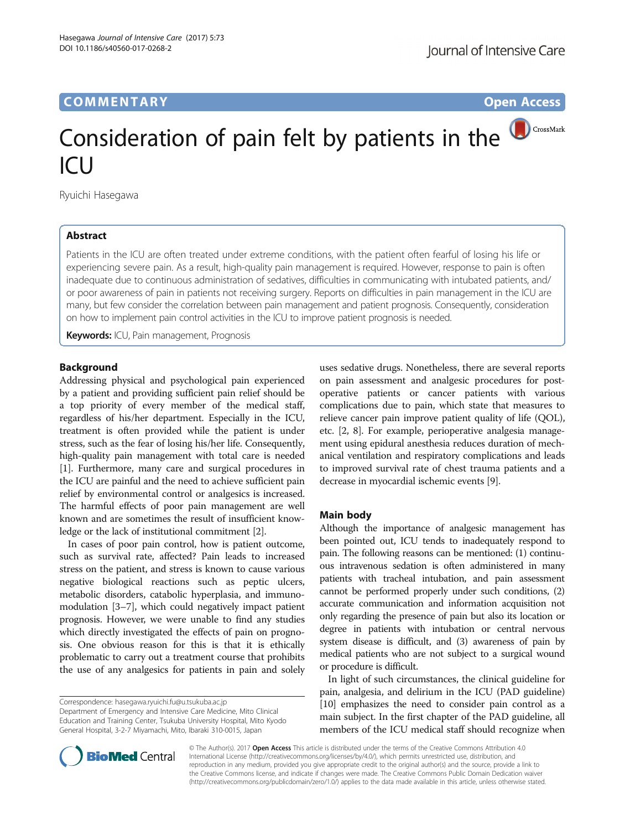## **COMMENTARY** COMMENTARY **COMMENTARY**

# CrossMark Consideration of pain felt by patients in the

Ryuichi Hasegawa

### Abstract

 $|C|$ 

Patients in the ICU are often treated under extreme conditions, with the patient often fearful of losing his life or experiencing severe pain. As a result, high-quality pain management is required. However, response to pain is often inadequate due to continuous administration of sedatives, difficulties in communicating with intubated patients, and/ or poor awareness of pain in patients not receiving surgery. Reports on difficulties in pain management in the ICU are many, but few consider the correlation between pain management and patient prognosis. Consequently, consideration on how to implement pain control activities in the ICU to improve patient prognosis is needed.

Keywords: ICU, Pain management, Prognosis

### **Background**

Addressing physical and psychological pain experienced by a patient and providing sufficient pain relief should be a top priority of every member of the medical staff, regardless of his/her department. Especially in the ICU, treatment is often provided while the patient is under stress, such as the fear of losing his/her life. Consequently, high-quality pain management with total care is needed [[1\]](#page-1-0). Furthermore, many care and surgical procedures in the ICU are painful and the need to achieve sufficient pain relief by environmental control or analgesics is increased. The harmful effects of poor pain management are well known and are sometimes the result of insufficient knowledge or the lack of institutional commitment [[2\]](#page-1-0).

In cases of poor pain control, how is patient outcome, such as survival rate, affected? Pain leads to increased stress on the patient, and stress is known to cause various negative biological reactions such as peptic ulcers, metabolic disorders, catabolic hyperplasia, and immunomodulation [[3](#page-1-0)–[7](#page-1-0)], which could negatively impact patient prognosis. However, we were unable to find any studies which directly investigated the effects of pain on prognosis. One obvious reason for this is that it is ethically problematic to carry out a treatment course that prohibits the use of any analgesics for patients in pain and solely

Correspondence: [hasegawa.ryuichi.fu@u.tsukuba.ac.jp](mailto:hasegawa.ryuichi.fu@u.tsukuba.ac.jp)

Department of Emergency and Intensive Care Medicine, Mito Clinical Education and Training Center, Tsukuba University Hospital, Mito Kyodo General Hospital, 3-2-7 Miyamachi, Mito, Ibaraki 310-0015, Japan

uses sedative drugs. Nonetheless, there are several reports on pain assessment and analgesic procedures for postoperative patients or cancer patients with various complications due to pain, which state that measures to relieve cancer pain improve patient quality of life (QOL), etc. [[2](#page-1-0), [8](#page-1-0)]. For example, perioperative analgesia management using epidural anesthesia reduces duration of mechanical ventilation and respiratory complications and leads to improved survival rate of chest trauma patients and a decrease in myocardial ischemic events [\[9](#page-1-0)].

### Main body

Although the importance of analgesic management has been pointed out, ICU tends to inadequately respond to pain. The following reasons can be mentioned: (1) continuous intravenous sedation is often administered in many patients with tracheal intubation, and pain assessment cannot be performed properly under such conditions, (2) accurate communication and information acquisition not only regarding the presence of pain but also its location or degree in patients with intubation or central nervous system disease is difficult, and (3) awareness of pain by medical patients who are not subject to a surgical wound or procedure is difficult.

In light of such circumstances, the clinical guideline for pain, analgesia, and delirium in the ICU (PAD guideline) [[10](#page-1-0)] emphasizes the need to consider pain control as a main subject. In the first chapter of the PAD guideline, all members of the ICU medical staff should recognize when



© The Author(s). 2017 **Open Access** This article is distributed under the terms of the Creative Commons Attribution 4.0 International License [\(http://creativecommons.org/licenses/by/4.0/](http://creativecommons.org/licenses/by/4.0/)), which permits unrestricted use, distribution, and reproduction in any medium, provided you give appropriate credit to the original author(s) and the source, provide a link to the Creative Commons license, and indicate if changes were made. The Creative Commons Public Domain Dedication waiver [\(http://creativecommons.org/publicdomain/zero/1.0/](http://creativecommons.org/publicdomain/zero/1.0/)) applies to the data made available in this article, unless otherwise stated.